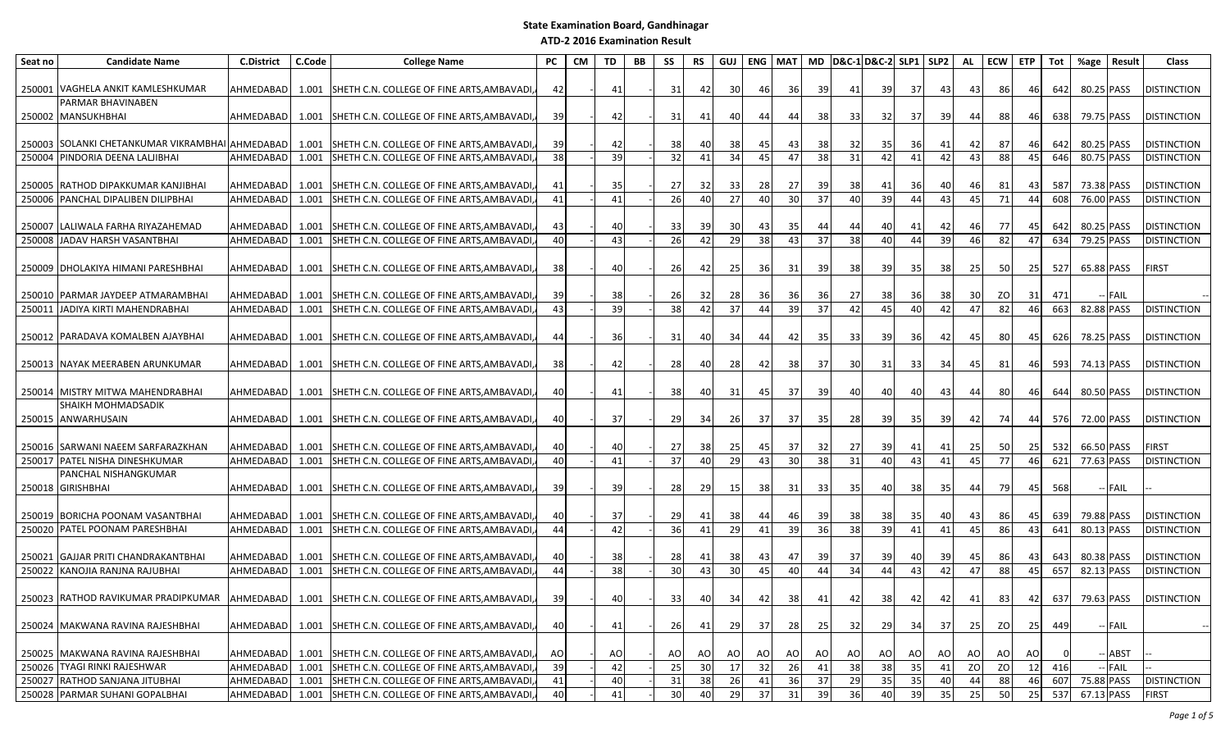| Seat no | <b>Candidate Name</b>                                               | <b>C.District</b>      | C.Code         | <b>College Name</b>                                                                            | <b>PC</b>       | CM | TD       | BB | SS              | <b>RS</b>       | GUJ       | <b>ENG MAT</b> |                 |          | MD D&C-1 D&C-2 SLP1 SLP2 |           |          |             | AL        | ECW ETP    |          | Tot        | %age                     | Result   | Class                              |
|---------|---------------------------------------------------------------------|------------------------|----------------|------------------------------------------------------------------------------------------------|-----------------|----|----------|----|-----------------|-----------------|-----------|----------------|-----------------|----------|--------------------------|-----------|----------|-------------|-----------|------------|----------|------------|--------------------------|----------|------------------------------------|
|         |                                                                     |                        |                |                                                                                                |                 |    |          |    |                 |                 |           |                |                 |          |                          |           |          |             |           |            |          |            |                          |          |                                    |
|         | 250001 VAGHELA ANKIT KAMLESHKUMAR                                   | AHMEDABAD              | 1.001          | SHETH C.N. COLLEGE OF FINE ARTS, AMBAVADI,                                                     | 42              |    | 41       |    | 31              | 42              | 30        | 46             | 36              | 39       | 41                       | 39        | 37       | 43          | 43        | 86         | 46       | 642        | 80.25 PASS               |          | <b>DISTINCTION</b>                 |
|         | PARMAR BHAVINABEN                                                   |                        |                |                                                                                                |                 |    |          |    |                 |                 |           |                |                 |          |                          |           |          |             |           |            |          |            |                          |          |                                    |
|         | 250002 MANSUKHBHAI                                                  | AHMEDABAD              | 1.001          | SHETH C.N. COLLEGE OF FINE ARTS, AMBAVADI,                                                     | 39I             |    | 42       |    | 31              | 41              | 40        | 44             | 44              | 38       | 33                       | 32        | 37       | 39          | 44        | 88         | 46       | 638        | 79.75 PASS               |          | <b>DISTINCTION</b>                 |
|         | 250003 SOLANKI CHETANKUMAR VIKRAMBHAI AHMEDABAD                     |                        | 1.001          | SHETH C.N. COLLEGE OF FINE ARTS, AMBAVADI,                                                     | 39              |    | 42       |    | 38              | 40              | 38        | 45             | 43              | 38       | 32                       | 35        | 36       | 41          | 42        | 87         | 46       | 642        | 80.25 PASS               |          | <b>DISTINCTION</b>                 |
| 250004  | PINDORIA DEENA LALJIBHAI                                            | AHMEDABAD              | 1.001          | SHETH C.N. COLLEGE OF FINE ARTS, AMBAVADI,                                                     | 38              |    | 39       |    | 32              | 41              | 34        | 45             | 47              | 38       | $\overline{31}$          | 42        | 41       | 42          | 43        | 88         | 45       | 646        | 80.75 PASS               |          | <b>DISTINCTION</b>                 |
|         |                                                                     |                        |                |                                                                                                |                 |    |          |    |                 |                 |           |                |                 |          |                          |           |          |             |           |            |          |            |                          |          |                                    |
|         | 250005 RATHOD DIPAKKUMAR KANJIBHAI                                  | AHMEDABAD              | 1.001          | SHETH C.N. COLLEGE OF FINE ARTS, AMBAVADI,                                                     | 41              |    | 35       |    | 27              | -321            | 331       | 28             | 27              | -39      | 38                       | 41        | 36       | 40          | 46        | -81        | 43       | 587        | 73.38 PASS               |          | <b>DISTINCTION</b>                 |
| 250006  | PANCHAL DIPALIBEN DILIPBHAI                                         | AHMEDABAD              | 1.001          | SHETH C.N. COLLEGE OF FINE ARTS, AMBAVADI,                                                     | 41              |    | 41       |    | 26              | 40              | 27        | 40             | 30 <sup>l</sup> | 37       | 40                       | 39        | 44       | 43          | 45        | 71         | 44       | 608        | 76.00 PASS               |          | <b>DISTINCTION</b>                 |
|         |                                                                     |                        |                |                                                                                                |                 |    |          |    |                 |                 |           |                |                 |          |                          |           |          |             |           |            |          |            |                          |          |                                    |
|         | 250007 LALIWALA FARHA RIYAZAHEMAD                                   | AHMEDABAD              |                | 1.001 SHETH C.N. COLLEGE OF FINE ARTS, AMBAVADI,                                               | 43              |    | 40       |    | 33              | 39              | 30        | 43             | 35              | 44       | 44                       | 40        | 41       | 42          |           | 77         | 45       | 642        | 80.25 PASS               |          | <b>DISTINCTION</b>                 |
|         | 250008 JADAV HARSH VASANTBHAI                                       | AHMEDABAD              | 1.001          | SHETH C.N. COLLEGE OF FINE ARTS, AMBAVADI,                                                     | 40              |    | 43       |    | 26              | 42              | 29        | 38             | 43              | 37       | 38                       | 40        | 44       | 39          | 46        | 82 l       | 47       | 634        | 79.25 PASS               |          | <b>DISTINCTION</b>                 |
|         |                                                                     |                        |                |                                                                                                |                 |    |          |    |                 |                 |           |                |                 |          |                          |           |          |             |           |            |          |            |                          |          |                                    |
|         | 250009   DHOLAKIYA HIMANI PARESHBHAI                                | AHMEDABAD              |                | 1.001 SHETH C.N. COLLEGE OF FINE ARTS, AMBAVADI,                                               | 38 <sup>l</sup> |    | 40       |    | 26              | 421             | <b>25</b> | -36 I          | -31             | -39      | 38                       | -391      | 35       | 381         | <b>25</b> | -501       | -251     | 527        | 65.88 PASS               |          | <b>FIRST</b>                       |
|         | 250010 PARMAR JAYDEEP ATMARAMBHAI                                   | AHMEDABAD              |                | 1.001 SHETH C.N. COLLEGE OF FINE ARTS, AMBAVADI,                                               | 39              |    | 38       |    |                 |                 |           | 36 I           |                 |          |                          |           | 36       |             |           | ZO         | 31       | 471        |                          | -- FAIL  |                                    |
| 250011  | JADIYA KIRTI MAHENDRABHAI                                           | AHMEDABAD              | 1.001          | SHETH C.N. COLLEGE OF FINE ARTS, AMBAVADI,                                                     | 43              |    | 39       |    | <b>26</b><br>38 | 32 <br>42       | 28<br>37  | 44             | -361<br>39      | 36<br>37 | 27<br>42                 | 38<br>45  | 40       | 38<br>42    | 30<br>47  | 82         | 46       | 663        | 82.88 PASS               |          | <b>DISTINCTION</b>                 |
|         |                                                                     |                        |                |                                                                                                |                 |    |          |    |                 |                 |           |                |                 |          |                          |           |          |             |           |            |          |            |                          |          |                                    |
|         | 250012 PARADAVA KOMALBEN AJAYBHAI                                   | AHMEDABAD              |                | 1.001 SHETH C.N. COLLEGE OF FINE ARTS, AMBAVADI,                                               | 44              |    | 36       |    | 31              | 40              | 34        | 44             | 42              | 35       | 33                       | -39       | 36       | 42          | 45        | 80         | 45       | 626        | 78.25 PASS               |          | <b>DISTINCTION</b>                 |
|         |                                                                     |                        |                |                                                                                                |                 |    |          |    |                 |                 |           |                |                 |          |                          |           |          |             |           |            |          |            |                          |          |                                    |
|         | 250013 NAYAK MEERABEN ARUNKUMAR                                     | AHMEDABAD              | 1.001          | SHETH C.N. COLLEGE OF FINE ARTS, AMBAVADI,                                                     | 38              |    | 42       |    | 28              | 40              | 28        | 42             | - 38            | 37       | 30 <sub>l</sub>          | 31        | 33       | 34 I        | 45        | 81         | 46       | 593        | 74.13 PASS               |          | <b>DISTINCTION</b>                 |
|         |                                                                     |                        |                |                                                                                                |                 |    |          |    |                 |                 |           |                |                 |          |                          |           |          |             |           |            |          |            |                          |          |                                    |
|         | 250014 MISTRY MITWA MAHENDRABHAI                                    | AHMEDABAD              |                | 1.001 SHETH C.N. COLLEGE OF FINE ARTS, AMBAVADI,                                               | 40              |    | 41       |    | 38              | 401             | 31        | 45             | -37             | -39      | 40                       | 40        | 40       | 431         | 44        | 80 I       | 461      | 644        | 80.50 PASS               |          | <b>DISTINCTION</b>                 |
|         | SHAIKH MOHMADSADIK                                                  |                        |                |                                                                                                |                 |    |          |    |                 |                 |           |                |                 |          |                          |           |          |             |           |            |          |            |                          |          |                                    |
|         | 250015 ANWARHUSAIN                                                  | AHMEDABAD              | 1.001          | SHETH C.N. COLLEGE OF FINE ARTS, AMBAVADI,                                                     | 40              |    | 37       |    | 29              | 34              | 26        | 37             | 37              | 35 J     | 28                       | 39        | 35       | 39 <b>J</b> | 42        | 74         | 44       | 576        | 72.00 PASS               |          | <b>DISTINCTION</b>                 |
|         |                                                                     |                        |                |                                                                                                |                 |    |          |    |                 |                 |           |                |                 |          |                          |           |          |             |           |            |          |            |                          |          |                                    |
|         | 250016 SARWANI NAEEM SARFARAZKHAN<br>250017 PATEL NISHA DINESHKUMAR | AHMEDABAD<br>AHMEDABAD | 1.001<br>1.001 | SHETH C.N. COLLEGE OF FINE ARTS, AMBAVADI,<br>SHETH C.N. COLLEGE OF FINE ARTS, AMBAVADI,       | 40<br>40        |    | 40<br>41 |    | 27<br>37        | 38<br>40        | 25<br>29  | 45<br>43       | 37<br>30        | 32<br>38 | 27<br>31                 | 39<br>40  | 41<br>43 | 41<br>41    | 25<br>45  | -50 <br>77 | 25<br>46 | 532<br>621 | 66.50 PASS<br>77.63 PASS |          | <b>FIRST</b><br><b>DISTINCTION</b> |
|         | PANCHAL NISHANGKUMAR                                                |                        |                |                                                                                                |                 |    |          |    |                 |                 |           |                |                 |          |                          |           |          |             |           |            |          |            |                          |          |                                    |
|         | 250018 GIRISHBHAI                                                   | AHMEDABAD              |                | 1.001 SHETH C.N. COLLEGE OF FINE ARTS, AMBAVADI,                                               | 39 <sub>l</sub> |    | 39       |    | 28              | 29              | <b>15</b> | -38            | -31             | 33       | 35 I                     | 40        | 38       | 35 I        | 44        | -791       | 45       | 568        |                          | --  FAIL |                                    |
|         |                                                                     |                        |                |                                                                                                |                 |    |          |    |                 |                 |           |                |                 |          |                          |           |          |             |           |            |          |            |                          |          |                                    |
|         | 250019 BORICHA POONAM VASANTBHAI                                    | AHMEDABAD              |                | 1.001 SHETH C.N. COLLEGE OF FINE ARTS, AMBAVADI,                                               | 40              |    | 37       |    | 29              | 41              | 38        | -44            | -46             | 39       | 38                       | 38        | 35       | 40          | 43        | 86         | 45       | 639        | 79.88 PASS               |          | <b>DISTINCTION</b>                 |
|         | 250020 PATEL POONAM PARESHBHAI                                      | AHMEDABAD              | 1.001          | SHETH C.N. COLLEGE OF FINE ARTS, AMBAVADI,                                                     | 44              |    | 42       |    | 36              | 41              | 29        | 41             | 39              | 36       | $\overline{38}$          | 39        | 41       | 41          | 45        | 86         | 43       | 641        | 80.13 PASS               |          | <b>DISTINCTION</b>                 |
|         |                                                                     |                        |                |                                                                                                |                 |    |          |    |                 |                 |           |                |                 |          |                          |           |          |             |           |            |          |            |                          |          |                                    |
|         | 250021 GAJJAR PRITI CHANDRAKANTBHAI                                 | AHMEDABAD              | 1.001          | SHETH C.N. COLLEGE OF FINE ARTS, AMBAVADI,                                                     | 40              |    | 38       |    | 28              | 41              | 38        | 43             | 47              | 39       | 37                       | 39        | 40       | 39          | 45        | 86         | 431      | 643        | 80.38 PASS               |          | <b>DISTINCTION</b>                 |
|         | 250022 KANOJIA RANJNA RAJUBHAI                                      | AHMEDABAD              | 1.001          | SHETH C.N. COLLEGE OF FINE ARTS, AMBAVADI,                                                     | 44              |    | 38       |    | 30 <sup>1</sup> | 43              | 30        | 45             | 40              | 44       | 34                       | 44        | 43       | 42          | 47        | 88         | 45       | 657        | 82.13 PASS               |          | <b>DISTINCTION</b>                 |
|         |                                                                     |                        |                |                                                                                                |                 |    |          |    |                 |                 |           |                |                 |          |                          |           |          |             |           |            |          |            |                          |          |                                    |
|         |                                                                     |                        |                | 250023 RATHOD RAVIKUMAR PRADIPKUMAR AHMEDABAD 1.001 SHETH C.N. COLLEGE OF FINE ARTS, AMBAVADI, | 39I             |    | 40       |    | 33              | 40              | 34        | 42             | 38              | 41       | 42 <sup>1</sup>          | 38        | 42       | 42          | 41        | 83         | 42       |            |                          |          | 637 79.63 PASS DISTINCTION         |
|         | 250024 MAKWANA RAVINA RAJESHBHAI                                    |                        |                | AHMEDABAD   1.001 SHETH C.N. COLLEGE OF FINE ARTS, AMBAVADI,                                   | 40              |    | 41       |    | 26              | 41              | 29        | 37             | 28              | 25       | 32                       | <b>29</b> | 34       | 37          | 25        | zol        | -251     | 449        |                          | - FAIL   |                                    |
|         |                                                                     |                        |                |                                                                                                |                 |    |          |    |                 |                 |           |                |                 |          |                          |           |          |             |           |            |          |            |                          |          |                                    |
|         | 250025 MAKWANA RAVINA RAJESHBHAI                                    |                        |                | AHMEDABAD 1.001 SHETH C.N. COLLEGE OF FINE ARTS, AMBAVADI,                                     | AO              |    | AO       |    | AO              | AO              | AO        | AO             | AO              | AO       | AO                       | AO        | AO       | AO          | AO.       | AO         | AO       |            |                          | - ABST   |                                    |
|         | 250026 TYAGI RINKI RAJESHWAR                                        | AHMEDABAD              |                | 1.001 SHETH C.N. COLLEGE OF FINE ARTS, AMBAVADI,                                               | 39              |    | 42       |    | 25              | 30 <sup>1</sup> | 17        | 32             | 26              | 41       | 38                       | 38        | 35       | 41          | ZO        | ZO         | 12       | 416        |                          | -- FAIL  |                                    |
|         | 250027 RATHOD SANJANA JITUBHAI                                      | AHMEDABAD              |                | 1.001 SHETH C.N. COLLEGE OF FINE ARTS, AMBAVADI,                                               | 41              |    | 40       |    | 31              | 38              | 26        | 41             | 36              | 37       | 29                       | 35        | 35       | 40          |           | 88         | 46       | 607        | 75.88 PASS               |          | <b>DISTINCTION</b>                 |
|         | 250028 PARMAR SUHANI GOPALBHAI                                      |                        |                | AHMEDABAD 1.001 SHETH C.N. COLLEGE OF FINE ARTS, AMBAVADI,                                     | 40              |    | 41       |    | 30 <sup>1</sup> | 40              | 29        | 37             | 31              | 39       | 36                       | 40        | 39       | 35          | 25        | 50         | 25       |            | 537 67.13 PASS           |          | <b>FIRST</b>                       |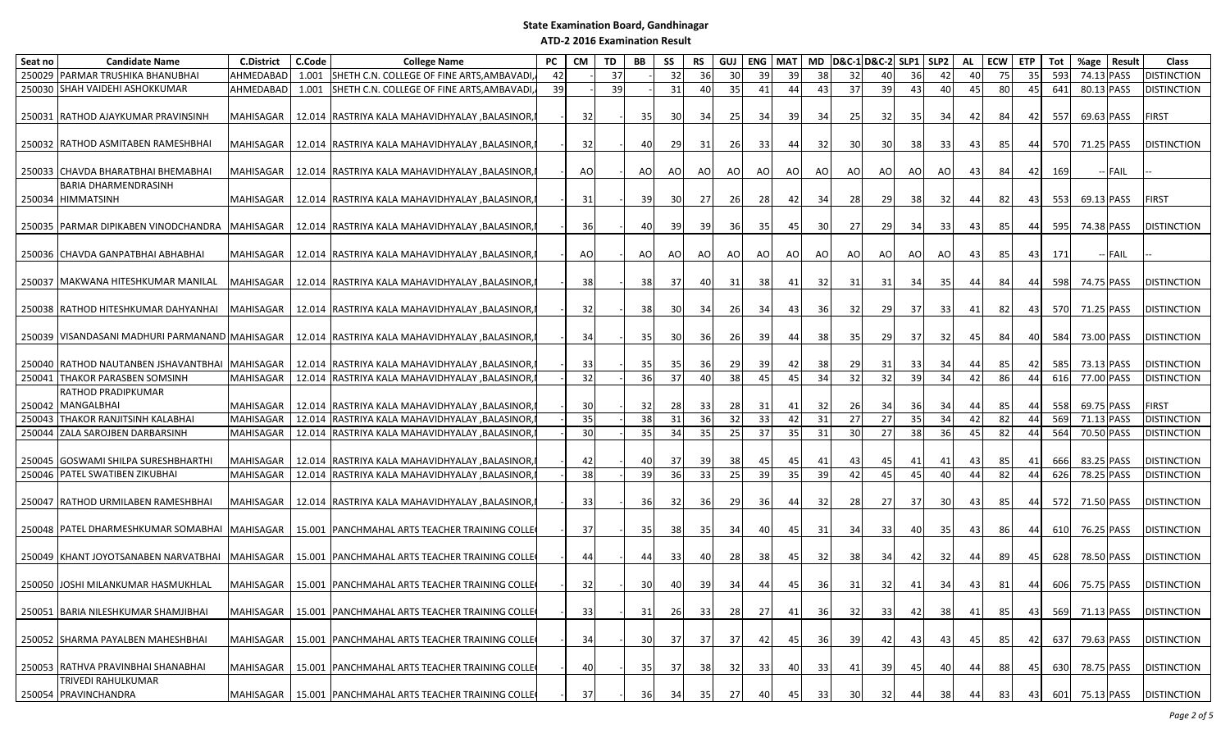| Seat no | <b>Candidate Name</b>                             | <b>C.District</b> | C.Code | <b>College Name</b>                              | <b>PC</b> | CM | TD | <b>BB</b>       | SS    | <b>RS</b> | GUJ  | <b>ENG</b> | <b>MAT</b> |     | MD D&C-1 D&C-2 SLP1 SLP2 |                 |                 |                 | AL | <b>ECW</b> | <b>ETP</b>      | Tot | %age       | Result  | Class              |
|---------|---------------------------------------------------|-------------------|--------|--------------------------------------------------|-----------|----|----|-----------------|-------|-----------|------|------------|------------|-----|--------------------------|-----------------|-----------------|-----------------|----|------------|-----------------|-----|------------|---------|--------------------|
|         | 250029 PARMAR TRUSHIKA BHANUBHAI                  | AHMEDABAD         |        | 1.001 SHETH C.N. COLLEGE OF FINE ARTS, AMBAVADI, | 42        |    | 37 |                 | 32    | 36        | 30   | 39         | 39         | 38  | 32                       | 40              | 36              | 42              | 40 | 75         | 35 <sup>1</sup> | 593 | 74.13 PASS |         | <b>DISTINCTION</b> |
|         | 250030 SHAH VAIDEHI ASHOKKUMAR                    | AHMEDABAD         | 1.001  | SHETH C.N. COLLEGE OF FINE ARTS, AMBAVADI,       | 39        |    | 39 |                 | 31    | 40        | 35   | 41         | 44         | 43  | 37                       | 39              | 43              | 40              | 45 | 80         | 45              | 641 | 80.13 PASS |         | <b>DISTINCTION</b> |
|         | 250031 RATHOD AJAYKUMAR PRAVINSINH                | MAHISAGAR         |        | 12.014 RASTRIYA KALA MAHAVIDHYALAY , BALASINOR,  |           | 32 |    | 35              | 30 I  | -34       | 25   | 34 I       | 39         | 34  | 25                       | 32              | 35              | 34              | 42 | 84         | 42              | 557 | 69.63 PASS |         | FIRST              |
|         | 250032 RATHOD ASMITABEN RAMESHBHAI                | MAHISAGAR         |        | 12.014 RASTRIYA KALA MAHAVIDHYALAY , BALASINOR   |           | 32 |    | 40              | 29    | 31        | 26   | 33         | 44         | 32  | 30                       | 30              | 38              | 33              | 43 | 85         | 441             | 570 | 71.25 PASS |         | <b>DISTINCTION</b> |
|         | 250033 CHAVDA BHARATBHAI BHEMABHAI                | MAHISAGAR         |        | 12.014 RASTRIYA KALA MAHAVIDHYALAY , BALASINOR   |           | AO |    | AO.             | AO    | AO        | AO I | AO I       | AO I       | AO  | AO                       | AO              | AO I            | AO              | 43 | 84         | 421             | 169 |            | -- FAIL |                    |
|         | BARIA DHARMENDRASINH<br>250034 HIMMATSINH         | MAHISAGAR         |        | 12.014 RASTRIYA KALA MAHAVIDHYALAY , BALASINOR,  |           | 31 |    | 39 <sub>l</sub> | 30    | 27        | 26   | 28         | 42         | 34  | 28                       | 29              | 38              | 32              | 44 | 82         | 43              | 553 | 69.13 PASS |         | <b>FIRST</b>       |
|         | 250035 PARMAR DIPIKABEN VINODCHANDRA MAHISAGAR    |                   |        | 12.014 RASTRIYA KALA MAHAVIDHYALAY , BALASINOR,  |           | 36 |    | 40              | -39   | -39       | 36   | 35         | 45         | 30  | 27                       | <b>29</b>       | 34              | -331            | 43 | 85         | 44              | 595 | 74.38 PASS |         | <b>DISTINCTION</b> |
|         | 250036 CHAVDA GANPATBHAI ABHABHAI                 | MAHISAGAR         |        | 12.014 RASTRIYA KALA MAHAVIDHYALAY , BALASINOR,  |           | AO |    | AO.             | AO    | AO        | AO   | AO.        | AO.        | AO  | AO                       | AO              | AO I            | AO              | 43 | 85         | 431             | 171 |            | -- FAIL |                    |
|         | 250037   MAKWANA HITESHKUMAR MANILAL              | MAHISAGAR         |        | 12.014 RASTRIYA KALA MAHAVIDHYALAY , BALASINOR,  |           | 38 |    | 38              | -37 I | 40        | 31   | 381        | 41         | 32  | 31                       | 31 I            | -34 I           | 35              | 44 | 841        | 44 I            | 598 | 74.75 PASS |         | <b>DISTINCTION</b> |
|         | 250038 RATHOD HITESHKUMAR DAHYANHAI               | MAHISAGAR         |        | 12.014 RASTRIYA KALA MAHAVIDHYALAY ,BALASINOR,   |           | 32 |    | 38              | 30    | 34        | 26   | 34         | 43         | 36  | 32                       | 29              | -37 I           | 33              | 41 | 82         | 431             | 570 | 71.25 PASS |         | <b>DISTINCTION</b> |
|         | 250039 VISANDASANI MADHURI PARMANAND MAHISAGAR    |                   |        | 12.014 RASTRIYA KALA MAHAVIDHYALAY , BALASINOR,  |           | 34 |    | 35              | 30 I  | 36 I      | 26   | 39         | 44         | 38  | 35                       | <b>29</b>       | 37              | 32              | 45 | 84         | 40              | 584 | 73.00 PASS |         | <b>DISTINCTION</b> |
|         | 250040 RATHOD NAUTANBEN JSHAVANTBHAI              | <b>MAHISAGAR</b>  |        | 12.014 RASTRIYA KALA MAHAVIDHYALAY , BALASINOR,  |           | 33 |    | 35              | 35    | 36        | 29   | 39         | 42         | 38  | 29                       | 31              | 33              | 34              | 44 | 85         | 42              | 585 | 73.13 PASS |         | <b>DISTINCTION</b> |
| 250041  | <b>THAKOR PARASBEN SOMSINH</b>                    | <b>MAHISAGAR</b>  |        | 12.014 RASTRIYA KALA MAHAVIDHYALAY , BALASINOR,  |           | 32 |    | 36              | 37    | 40        | 38   | 45         | 45         | 34  | $\overline{32}$          | 32              | 39              | 34              | 42 | 86         | 44              | 616 | 77.00 PASS |         | <b>DISTINCTION</b> |
|         | RATHOD PRADIPKUMAR<br>250042 MANGALBHAI           | MAHISAGAR         |        | 12.014   RASTRIYA KALA MAHAVIDHYALAY , BALASINOR |           | 30 |    | 32 <sub>l</sub> | 28    | -331      | 28   | -31        | 41         | 32  | 26                       | 34              | 36 I            | 34              | 44 | 85         | 44              | 558 | 69.75 PASS |         | FIRST              |
| 250043  | THAKOR RANJITSINH KALABHAI                        | <b>MAHISAGAR</b>  |        | 12.014 RASTRIYA KALA MAHAVIDHYALAY , BALASINOR,  |           | 35 |    | 38              | 31    | 36        | 32   | 33         | 42         | 31  | 27                       | $\overline{27}$ | 35              | 34              | 42 | 82         | 44              | 569 | 71.13 PASS |         | <b>DISTINCTION</b> |
|         | 250044 ZALA SAROJBEN DARBARSINH                   | MAHISAGAR         |        | 12.014 RASTRIYA KALA MAHAVIDHYALAY , BALASINOR,  |           | 30 |    | 35              | 34    | 35        | 25   | 37         | 35         | 31  | 30                       | 27              | 38 <sup>l</sup> | 36              | 45 | 82         | 44              | 564 | 70.50 PASS |         | <b>DISTINCTION</b> |
|         | 250045 GOSWAMI SHILPA SURESHBHARTHI               | <b>MAHISAGAR</b>  |        | 12.014 RASTRIYA KALA MAHAVIDHYALAY , BALASINOR,  |           | 42 |    | 40              | 37    | - 39      | 38   |            | 45         | 41  | 43                       | 45              | 41              | 41              | 43 | 85         | 41              | 666 | 83.25 PASS |         | <b>DISTINCTION</b> |
|         | 250046 PATEL SWATIBEN ZIKUBHAI                    | <b>MAHISAGAR</b>  |        | 12.014 RASTRIYA KALA MAHAVIDHYALAY , BALASINOR,  |           | 38 |    | 39              | 36    | 33        | 25   | 39         | 35         | 39  | 42                       | 45              | 45              | 40              | 44 | 82         | 44              | 626 | 78.25 PASS |         | <b>DISTINCTION</b> |
|         | 250047 RATHOD URMILABEN RAMESHBHAI                | MAHISAGAR         |        | 12.014 RASTRIYA KALA MAHAVIDHYALAY , BALASINOR,  |           | 33 |    | <b>36</b>       | 32    | 36 I      | 29   | 36 I       | 44         | 32  | 28                       | 27              | -37 I           | -30 I           | 43 | 85         | 441             | 572 | 71.50 PASS |         | <b>DISTINCTION</b> |
|         | 250048   PATEL DHARMESHKUMAR SOMABHAI   MAHISAGAR |                   |        | 15.001 PANCHMAHAL ARTS TEACHER TRAINING COLLE    |           | 37 |    | 35 <sub>l</sub> | 38    | 35        | 34   | 40         | 45         | 31  | 34                       | 33              | 40              | 35              | 43 | 861        | 44 I            | 610 | 76.25 PASS |         | <b>DISTINCTION</b> |
|         | 250049 KHANT JOYOTSANABEN NARVATBHAI              | MAHISAGAR         |        | 15.001   PANCHMAHAL ARTS TEACHER TRAINING COLLE  |           | 44 |    | 44              | 33    | 40        | 28   | 38         | 45         | 32  | 38                       | 34              | 42              | 32 <sub>l</sub> | 44 | 89         | 45              | 628 | 78.50 PASS |         | <b>DISTINCTION</b> |
|         | 250050 JOSHI MILANKUMAR HASMUKHLAL                | <b>MAHISAGAR</b>  |        | 15.001 PANCHMAHAL ARTS TEACHER TRAINING COLLE    |           | 32 |    | 30 <sup>l</sup> | 40    | 39        | 34   | 44         | 45         | -36 | 31                       | 32              | 41              | 34              | 43 | 81         | 441             | 606 | 75.75 PASS |         | <b>DISTINCTION</b> |
|         | 250051 BARIA NILESHKUMAR SHAMJIBHAI               | MAHISAGAR         |        | 15.001 PANCHMAHAL ARTS TEACHER TRAINING COLLE    |           | 33 |    | 31              | 26    | 33        | 28   | 27         | 41         | 36  | 32                       | 33              | 42              | 38              | 41 | 85         | 43              | 569 | 71.13 PASS |         | <b>DISTINCTION</b> |
|         | 250052 SHARMA PAYALBEN MAHESHBHAI                 | MAHISAGAR         |        | 15.001 PANCHMAHAL ARTS TEACHER TRAINING COLLE    |           | 34 |    | 30              | 37 I  | -37 I     | 37   | 42         | 45         | 36  | 39                       | 42              | 43              | 43              | 45 | 85         | 42              | 637 | 79.63 PASS |         | <b>DISTINCTION</b> |
|         | 250053 RATHVA PRAVINBHAI SHANABHAI                | MAHISAGAR         |        | 15.001 PANCHMAHAL ARTS TEACHER TRAINING COLLE    |           | 40 |    | 35 <sub>l</sub> | 37    | 38        | 32   | 33         | 40         | 33  | 41                       | 39              | 45              | 40              | 44 | 88         | 45              | 630 | 78.75 PASS |         | <b>DISTINCTION</b> |
|         | TRIVEDI RAHULKUMAR<br>250054 PRAVINCHANDRA        | MAHISAGAR         |        | 15.001 PANCHMAHAL ARTS TEACHER TRAINING COLLE    |           | 37 |    | 36              | -34 I | 35        | 27   | 401        | 45         | 33  | 30                       | 32              | 44              | 38              | 44 | 831        | 43              | 601 | 75.13 PASS |         | <b>DISTINCTION</b> |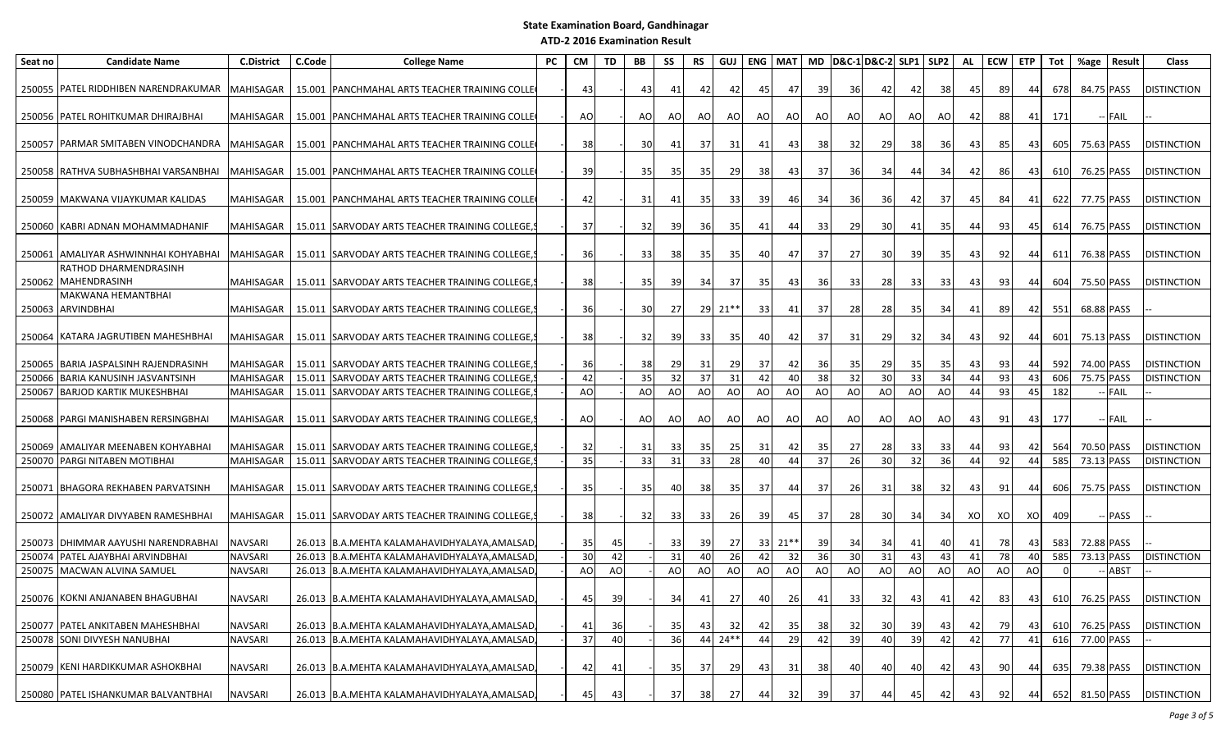| Seat no | <b>Candidate Name</b>                        | <b>C.District</b> | C.Code | <b>College Name</b>                              | PC | <b>CM</b> | TD | <b>BB</b> | SS          | <b>RS</b> |           | GUJ ENG   MAT |         |           | MD D&C-1D&C-2 SLP1 SLP2 |           |      |       | AL  | <b>ECW</b>      | <b>ETP</b> | Tot | %age           | Result      | Class                         |
|---------|----------------------------------------------|-------------------|--------|--------------------------------------------------|----|-----------|----|-----------|-------------|-----------|-----------|---------------|---------|-----------|-------------------------|-----------|------|-------|-----|-----------------|------------|-----|----------------|-------------|-------------------------------|
|         | 250055 PATEL RIDDHIBEN NARENDRAKUMAR         | MAHISAGAR         |        | 15.001 PANCHMAHAL ARTS TEACHER TRAINING COLLE    |    | 43        |    | 43        | 41          | 42        | 42        | 45            | 47      | 39        | 36                      | 42        | 42   | 38    | 45  | 89              | 44         | 678 | 84.75 PASS     |             | <b>DISTINCTION</b>            |
|         | 250056 PATEL ROHITKUMAR DHIRAJBHAI           | MAHISAGAR         |        | 15.001 PANCHMAHAL ARTS TEACHER TRAINING COLLE    |    | AO        |    | AO        | AO          | AO        | AO        | AO            | AO      | AO.       | AO                      | AO        | AO   | AO    | 42  | 88              | 41         | 171 |                | -- FAIL     |                               |
|         | 250057 PARMAR SMITABEN VINODCHANDRA          | MAHISAGAR         |        | 15.001   PANCHMAHAL ARTS TEACHER TRAINING COLLE  |    | 38        |    | 30        | 41          | 37        | 31        | 41            | 43      | 38        | 32                      | 29        | 38   | 36    | 43  | 85              | 431        | 605 | 75.63 PASS     |             | <b>DISTINCTION</b>            |
|         | 250058 RATHVA SUBHASHBHAI VARSANBHAI         | MAHISAGAR         |        | 15.001   PANCHMAHAL ARTS TEACHER TRAINING COLLE  |    | 39        |    | 35        | -35         | 35 I      | <b>29</b> | 38            | 43      | 37        | 36                      | 34        | 44   | 34    | 42  | 86              | -431       | 610 | 76.25 PASS     |             | <b>DISTINCTION</b>            |
|         | 250059   MAKWANA VIJAYKUMAR KALIDAS          | MAHISAGAR         |        | 15.001   PANCHMAHAL ARTS TEACHER TRAINING COLLE  |    | 42        |    | 31        | 41          | -351      | 33        | -39           | 46      | 34        | 36                      | <b>36</b> | 42   | -37 I | 45  | 84              | 41         | 622 | 77.75 PASS     |             | <b>DISTINCTION</b>            |
|         | 250060 KABRI ADNAN MOHAMMADHANIF             | MAHISAGAR         |        | 15.011   SARVODAY ARTS TEACHER TRAINING COLLEGE, |    | 37        |    | 32        | -39         | <b>36</b> | 35        | 41            | 44      | 33        | 29                      | 30        | 41   | 35    | -44 | 93              | -45        | 614 | 76.75 PASS     |             | <b>DISTINCTION</b>            |
|         | 250061 AMALIYAR ASHWINNHAI KOHYABHAI         | MAHISAGAR         |        | 15.011 SARVODAY ARTS TEACHER TRAINING COLLEGE,   |    | 36        |    | 33        | 38          | 35        | 35        | 40            | 47      | 37        | 27                      | 30        | 39 I | -35   | 43  | 92              | -441       | 611 | 76.38 PASS     |             | <b>DISTINCTION</b>            |
|         | RATHOD DHARMENDRASINH<br>250062 MAHENDRASINH | MAHISAGAR         |        | 15.011 SARVODAY ARTS TEACHER TRAINING COLLEGE,   |    | 38        |    | 35        | 39 <b>J</b> | 34        | -371      | -351          | 43      | <b>36</b> | 33                      | 28        | 331  | 33    | 43  | 93              | -441       | 604 | 75.50 PASS     |             | <b>DISTINCTION</b>            |
|         | MAKWANA HEMANTBHAI<br>250063 ARVINDBHAI      | MAHISAGAR         |        | 15.011 SARVODAY ARTS TEACHER TRAINING COLLEGE,   |    | 36        |    | 30        | 27          |           | 29 21**   | 33            | 41      | 37        | 28                      | 28        | 35 I | -34   | 41  | 89              | 42         | 551 | 68.88 PASS     |             |                               |
|         | 250064 KATARA JAGRUTIBEN MAHESHBHAI          | MAHISAGAR         |        | 15.011 SARVODAY ARTS TEACHER TRAINING COLLEGE,   |    | 38        |    | 32        | 39 <b>J</b> | 33        | 35        | 40            | 42      | 37        | 31                      | 29        | 32   | -34   | 43  | 92              | -44        | 601 | 75.13 PASS     |             | <b>DISTINCTION</b>            |
| 250065  | BARIA JASPALSINH RAJENDRASINH                | MAHISAGAR         |        | 15.011 SARVODAY ARTS TEACHER TRAINING COLLEGE,   |    | 36        |    | 38        | -29         | 31        | 29        | 37 I          | 42      | 36        | 35                      | 29        | 35   | 35    | 43  | 93              |            | 592 | 74.00 PASS     |             | <b>DISTINCTION</b>            |
| 250066  | <b>BARIA KANUSINH JASVANTSINH</b>            | <b>MAHISAGAR</b>  | 15.011 | SARVODAY ARTS TEACHER TRAINING COLLEGE           |    | 42        |    | 35        | 32          | 37        | 31        | 42            | 40      | 38        | 32                      | 30        | 33   | 34    | 44  | 93              | 43         | 606 | 75.75 PASS     |             | <b>DISTINCTION</b>            |
| 250067  | <b>BARJOD KARTIK MUKESHBHAI</b>              | MAHISAGAR         | 15.011 | SARVODAY ARTS TEACHER TRAINING COLLEGE           |    | AO        |    | AO        | AO          | AO        | AO        | AO            | AO      | AO        | AO                      | AO        | AO   | AO    | 44  | 93              | 45         | 182 |                | <b>FAIL</b> |                               |
|         | 250068 PARGI MANISHABEN RERSINGBHAI          | MAHISAGAR         |        | 15.011 SARVODAY ARTS TEACHER TRAINING COLLEGE,   |    | AO        |    | AO        | AO          | AO        | AO        | AO            | AO      | AO        | AO                      | AO        | AO   | AO    | 43  | 91              | 43         | 177 |                | -- FAIL     |                               |
|         | 250069 AMALIYAR MEENABEN KOHYABHAI           | MAHISAGAR         |        | 15.011 SARVODAY ARTS TEACHER TRAINING COLLEGE,   |    | 32        |    | 31        | -33         | 35        | 25        | 31            | 42      | 35        | 27                      | 28        | 331  | 33    | 44  | 93              | 42         | 564 | 70.50 PASS     |             | <b>DISTINCTION</b>            |
|         | 250070 PARGI NITABEN MOTIBHAI                | MAHISAGAR         |        | 15.011 SARVODAY ARTS TEACHER TRAINING COLLEGE,   |    | 35        |    | 33        | 31          | 33        | 28        | 40            | 44      | 37        | 26                      | 30        | 32   | 36    | 44  | 92              | 44         | 585 | 73.13 PASS     |             | <b>DISTINCTION</b>            |
|         | 250071 BHAGORA REKHABEN PARVATSINH           | MAHISAGAR         |        | 15.011   SARVODAY ARTS TEACHER TRAINING COLLEGE  |    | 35        |    | 35        | 40          | 38        | 35        | 37 I          | 44      | 37        | 26                      | 31        | 38   | -321  | 43  | 91              | 44         | 606 | 75.75 PASS     |             | <b>DISTINCTION</b>            |
|         | 250072 AMALIYAR DIVYABEN RAMESHBHAI          | MAHISAGAR         |        | 15.011   SARVODAY ARTS TEACHER TRAINING COLLEGE, |    | -38       |    | 32        | -331        | 33        | <b>26</b> | -391          | 45      | 37        | 28                      | 30        | 34   | -34 I | xo  | XO              | xol        | 409 |                | <b>PASS</b> |                               |
|         | 250073 DHIMMAR AAYUSHI NARENDRABHAI          | NAVSARI           |        | 26.013 B.A.MEHTA KALAMAHAVIDHYALAYA,AMALSAD      |    | 35        | 45 |           | -331        | -39       | 27        |               | 33 21** | 39        | 34                      | 34        | 41   | 40    | 41  | 78              | 431        | 583 | 72.88 PASS     |             |                               |
|         | 250074 PATEL AJAYBHAI ARVINDBHAI             | <b>NAVSARI</b>    |        | 26.013 B.A.MEHTA KALAMAHAVIDHYALAYA, AMALSAD     |    | 30        | 42 |           | 31          | 40        | 26        | 42            | 32      | 36        | 30                      | 31        | 43   | 43    | 41  | 78              | 40         | 585 | 73.13 PASS     |             | <b>DISTINCTION</b>            |
|         | 250075 MACWAN ALVINA SAMUEL                  | <b>NAVSARI</b>    |        | 26.013 B.A.MEHTA KALAMAHAVIDHYALAYA, AMALSAD     |    | AO        | AO |           | AO          | AO        | <b>AO</b> | AO            | AO      | AO        | AO                      | AO        | AO   | AO    | AO  | AO              | AO         |     |                | <b>ABST</b> |                               |
|         | 250076 KOKNI ANJANABEN BHAGUBHAI             | NAVSARI           |        | 26.013 B.A.MEHTA KALAMAHAVIDHYALAYA, AMALSAD     |    | 45        | 39 |           | 34          | 41        | 27        | 40            | 26      | 41        | 33                      | 32        | 43   | 41    | 42  | 83              |            |     |                |             | 43 610 76.25 PASS DISTINCTION |
|         | 250077   PATEL ANKITABEN MAHESHBHAI          | <b>NAVSARI</b>    |        | 26.013 B.A.MEHTA KALAMAHAVIDHYALAYA, AMALSAD     |    | 41        | 36 |           | -35         | 43        | 32        | 42            | -35     | 38        | 32                      | 30        | 39   | 43    | 42  | 79              | 43         | 610 | 76.25 PASS     |             | <b>DISTINCTION</b>            |
|         | 250078 SONI DIVYESH NANUBHAI                 | <b>NAVSARI</b>    |        | 26.013 B.A.MEHTA KALAMAHAVIDHYALAYA, AMALSAD,    |    | 37        | 40 |           | 36          |           | 44 24**   | 44            | 29      | 42        | 39                      | 40        | 39   | 42    | 42  | 77              | 41         | 616 | 77.00 PASS     |             |                               |
|         | 250079 KENI HARDIKKUMAR ASHOKBHAI            | NAVSARI           |        | 26.013 B.A.MEHTA KALAMAHAVIDHYALAYA, AMALSAD,    |    | 42        | 41 |           | 35          | 37        | 29        | 43            | 31      | 38        | 40                      | 40        | 40   | 42    | 43  | 90 <sub>l</sub> | 44         | 635 | 79.38 PASS     |             | <b>DISTINCTION</b>            |
|         | 250080 PATEL ISHANKUMAR BALVANTBHAI          | NAVSARI           |        | 26.013 B.A.MEHTA KALAMAHAVIDHYALAYA, AMALSAD,    |    | 45        | 43 |           | 37          | 38        | 27        | 44            | 32      | 39        | 37                      | 44        | 45   | 42    | 43  | 92              | 44         |     | 652 81.50 PASS |             | <b>DISTINCTION</b>            |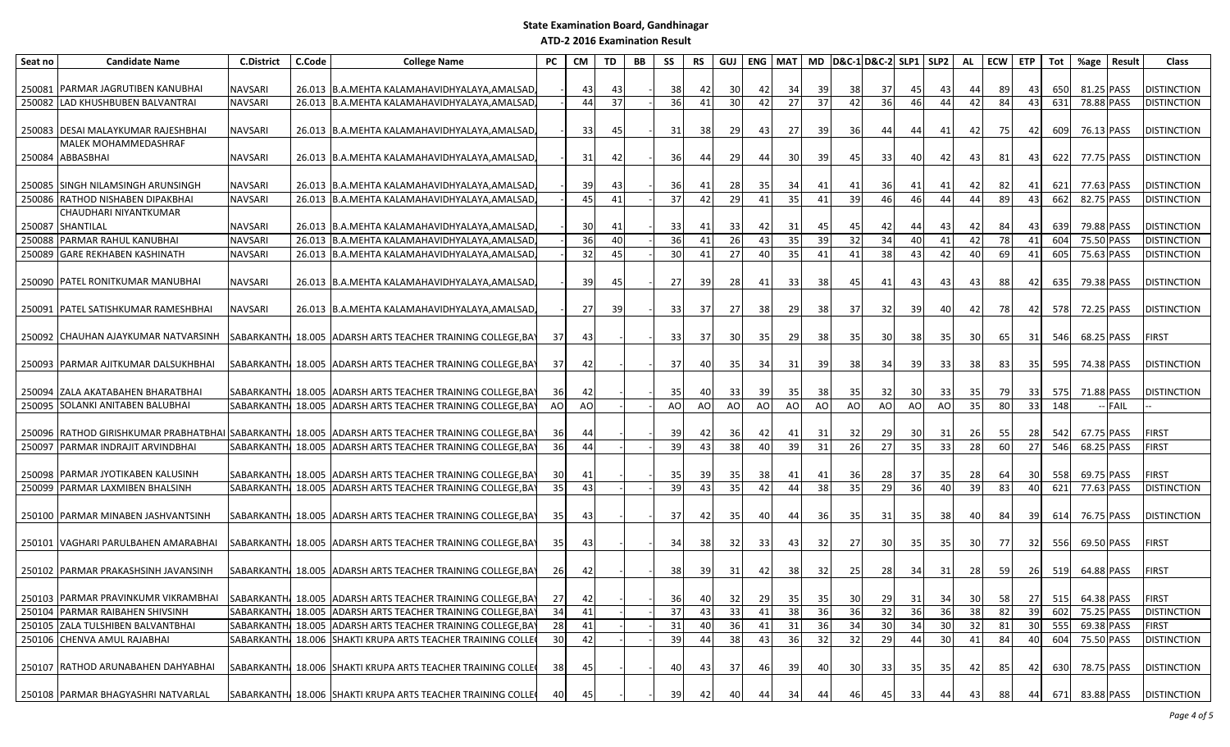| Seat no | <b>Candidate Name</b>                                                | <b>C.District</b> | C.Code | <b>College Name</b>                                                                                                       | PC              | <b>CM</b> | TD | BB | SS              | <b>RS</b> | GUJ       | ENG MAT  |          |                | MD D&C-1 D&C-2 SLP1 SLP2 |                |                |                                    | AL              | ECW ETP   |                 | Tot        | %age                     | Result  | <b>Class</b>                |
|---------|----------------------------------------------------------------------|-------------------|--------|---------------------------------------------------------------------------------------------------------------------------|-----------------|-----------|----|----|-----------------|-----------|-----------|----------|----------|----------------|--------------------------|----------------|----------------|------------------------------------|-----------------|-----------|-----------------|------------|--------------------------|---------|-----------------------------|
|         |                                                                      |                   |        |                                                                                                                           |                 |           |    |    |                 |           |           |          |          |                |                          |                |                |                                    |                 |           |                 |            |                          |         |                             |
| 250081  | PARMAR JAGRUTIBEN KANUBHAI                                           | <b>NAVSARI</b>    |        | 26.013 B.A.MEHTA KALAMAHAVIDHYALAYA, AMALSAD                                                                              |                 | 43        | 43 |    | 38              | 42        | 30        | 42       | 34       | -39            | -38                      | 37             | 45             | 43                                 | 44              | 89        | 431             | 650        | 81.25 PASS               |         | <b>DISTINCTION</b>          |
|         | 250082 LAD KHUSHBUBEN BALVANTRAI                                     | <b>NAVSARI</b>    |        | 26.013 B.A.MEHTA KALAMAHAVIDHYALAYA, AMALSAD                                                                              |                 | 44        | 37 |    | 36              | 41        | 30        | 42       | 27       | 37             | 42                       | 36             | 46             | 44                                 | 42              | 84        | 43              | 631        | 78.88 PASS               |         | <b>DISTINCTION</b>          |
|         | 250083 DESAI MALAYKUMAR RAJESHBHAI                                   | <b>NAVSARI</b>    |        | 26.013 B.A.MEHTA KALAMAHAVIDHYALAYA, AMALSAD                                                                              |                 | 33        | 45 |    | 31              | 38        | 29        | 43       | 27       | 39             | 36                       | 44             | 44             | 41                                 | 42              | 75        | 42              | 609        | 76.13 PASS               |         | <b>DISTINCTION</b>          |
|         | MALEK MOHAMMEDASHRAF                                                 |                   |        |                                                                                                                           |                 |           |    |    |                 |           |           |          |          |                |                          |                |                |                                    |                 |           |                 |            |                          |         |                             |
|         | 250084 ABBASBHAI                                                     | NAVSARI           |        | 26.013 B.A.MEHTA KALAMAHAVIDHYALAYA, AMALSAD                                                                              |                 | 31        | 42 |    | 36              | 44        | <b>29</b> | -44      | 30       | -39            | 45                       | 33             | 40             | 42                                 | 43              | 81        | 431             | 622        | 77.75 PASS               |         | <b>DISTINCTION</b>          |
|         | 250085 SINGH NILAMSINGH ARUNSINGH                                    | NAVSARI           |        | 26.013 B.A.MEHTA KALAMAHAVIDHYALAYA, AMALSAD                                                                              |                 | 39        | 43 |    | 36              | 41        | 28        | -35 I    | 34 I     | 41             | 41                       | 36             | 41             | 41                                 | 42              | 82        |                 | 621        | 77.63 PASS               |         | <b>DISTINCTION</b>          |
| 250086  | RATHOD NISHABEN DIPAKBHAI                                            | <b>NAVSARI</b>    |        | 26.013 B.A.MEHTA KALAMAHAVIDHYALAYA, AMALSAD                                                                              |                 | 45        | 41 |    | 37              | 42        | 29        | 41       | 35       | 41             | 39                       | 46             | 46             | 44                                 | 44              | 89        | 43              | 662        | 82.75 PASS               |         | <b>DISTINCTION</b>          |
|         | CHAUDHARI NIYANTKUMAR                                                |                   |        |                                                                                                                           |                 |           |    |    |                 |           |           |          |          |                |                          |                |                |                                    |                 |           |                 |            |                          |         |                             |
| 250087  | SHANTILAL                                                            | <b>NAVSARI</b>    |        | 26.013 B.A.MEHTA KALAMAHAVIDHYALAYA, AMALSAD                                                                              |                 | 30        | 41 |    | 33              | 41        | 33        | 42       | 31       |                | 45                       |                |                | 43                                 | 42              | 84        |                 | 639        | 79.88 PASS               |         | <b>DISTINCTION</b>          |
| 250088  | PARMAR RAHUL KANUBHAI                                                | <b>NAVSARI</b>    | 26.013 | B.A.MEHTA KALAMAHAVIDHYALAYA, AMALSAD                                                                                     |                 | 36        | 40 |    | 36              | 41        | 26        | 43       | 35       | 39             | $\overline{32}$          | 34             | 40             | 41                                 | 42              | 78        | 41              | 604        | 75.50 PASS               |         | <b>DISTINCTION</b>          |
| 250089  | <b>GARE REKHABEN KASHINATH</b>                                       | <b>NAVSARI</b>    | 26.013 | B.A.MEHTA KALAMAHAVIDHYALAYA, AMALSAD                                                                                     |                 | 32        | 45 |    | 30 <sup>°</sup> | 41        | 27        | 40       | 35       | 41             | 41                       | 38             | 43             | 42                                 | 40              | 69        | 41              | 605        | 75.63 PASS               |         | <b>DISTINCTION</b>          |
|         | 250090 PATEL RONITKUMAR MANUBHAI                                     | <b>NAVSARI</b>    |        | 26.013 B.A.MEHTA KALAMAHAVIDHYALAYA,AMALSAD                                                                               |                 | -39       | 45 |    | 27              | 39        | 28        | 41       | 331      | 38             | 45                       | 41             | 43             | 43                                 | 43              | 88        | 421             | 635        | 79.38 PASS               |         | <b>DISTINCTION</b>          |
|         |                                                                      |                   |        |                                                                                                                           |                 |           |    |    |                 |           |           |          |          |                |                          |                |                |                                    |                 |           |                 |            |                          |         |                             |
|         | 250091 PATEL SATISHKUMAR RAMESHBHAI                                  | NAVSARI           |        | 26.013 B.A.MEHTA KALAMAHAVIDHYALAYA, AMALSAD                                                                              |                 | 27        | 39 |    | 33              | 37        | 27        | 38       | 29       | 38             | 37                       | 32             | 39             | 40                                 | 42              | 78        | 42              | 578        | 72.25 PASS               |         | <b>DISTINCTION</b>          |
|         | 250092 CHAUHAN AJAYKUMAR NATVARSINH                                  |                   |        | SABARKANTH/ 18.005 ADARSH ARTS TEACHER TRAINING COLLEGE, BA'                                                              | 37              | 43        |    |    | 33              | 371       | 30        | 35       | -29      | 38             | 35                       | 30             | -38            | 35                                 | -30             | 65        | 31              | 546        | 68.25 PASS               |         | <b>FIRST</b>                |
|         |                                                                      |                   |        |                                                                                                                           |                 |           |    |    |                 |           |           |          |          |                |                          |                |                |                                    |                 |           |                 |            |                          |         |                             |
|         | 250093 PARMAR AJITKUMAR DALSUKHBHAI                                  |                   |        | SABARKANTH 18.005 ADARSH ARTS TEACHER TRAINING COLLEGE, BAY                                                               | 37              | 42        |    |    | 37              | 40        | 35        | 34 I     | 31       | 39             | 38                       | 34             | 39             | 33                                 | - 38            | 83        | 35 <sub>l</sub> | 595        | 74.38 PASS               |         | <b>DISTINCTION</b>          |
|         |                                                                      |                   |        |                                                                                                                           |                 |           |    |    |                 |           |           |          |          |                |                          |                |                |                                    |                 |           |                 |            |                          |         |                             |
|         | 250094 ZALA AKATABAHEN BHARATBHAI                                    | SABARKANTH/       |        | 18.005 ADARSH ARTS TEACHER TRAINING COLLEGE, BAT                                                                          | 36              | -42       |    |    | 35 <sub>l</sub> | 40        | 33        | -39      | 35 I     | -38            | 35                       | 32             | 30             | 33                                 | -35             | 79        | 33              | 575        | 71.88 PASS               |         | <b>DISTINCTION</b>          |
|         | 250095 SOLANKI ANITABEN BALUBHAI                                     | <b>SABARKANTH</b> | 18.005 | ADARSH ARTS TEACHER TRAINING COLLEGE, BAY                                                                                 | AO              | AO        |    |    | <b>AO</b>       | <b>AO</b> | AO        | AO       | AO       | A <sub>O</sub> | A <sub>O</sub>           | A <sub>O</sub> | A <sub>O</sub> | A <sub>O</sub>                     | 35              | 80        | 33              | 148        |                          | -- FAIL |                             |
|         |                                                                      |                   |        |                                                                                                                           |                 |           |    |    |                 |           |           |          |          |                |                          |                |                |                                    |                 |           |                 |            |                          |         |                             |
|         | 250096 RATHOD GIRISHKUMAR PRABHATBHAI SABARKANTHA                    |                   |        | 18.005 ADARSH ARTS TEACHER TRAINING COLLEGE, BAY                                                                          | 36              | 44        |    |    | 39              | 42        | 36        | 42       | 41       | -31            | -32                      | -29            | 30             | 31                                 | <b>26</b>       | 55        | -281            | 542        | 67.75 PASS               |         | <b>FIRST</b>                |
|         | 250097 PARMAR INDRAJIT ARVINDBHAI                                    | <b>SABARKANTH</b> | 18.005 | ADARSH ARTS TEACHER TRAINING COLLEGE, BA                                                                                  | 36              | 44        |    |    | 39              | 43        | 38        | 40       | 39       | 31             | 26                       | 27             | 35             | 33                                 | 28              | <b>60</b> | 27              | 546        | 68.25 PASS               |         | FIRST                       |
|         |                                                                      |                   |        |                                                                                                                           |                 |           |    |    |                 |           |           |          |          |                |                          |                |                |                                    |                 |           |                 |            |                          |         |                             |
|         | 250098 PARMAR JYOTIKABEN KALUSINH                                    | SABARKANTH        |        | 18.005 ADARSH ARTS TEACHER TRAINING COLLEGE, BAY                                                                          | 30              | 41        |    |    | 35              | 39        | 35        | 38       | 41       | 41             | 36<br>35                 | 28<br>29       | 37             | 35<br>40                           | 28              | 64        | -30             | 558        | 69.75 PASS               |         | <b>FIRST</b>                |
| 250099  | PARMAR LAXMIBEN BHALSINH                                             | SABARKANTH/       | 18.005 | ADARSH ARTS TEACHER TRAINING COLLEGE, BA                                                                                  | 35              | 43        |    |    | 39              | 43        | 35        | 42       | 44       | 38             |                          |                | 36             |                                    | 39              | 83        | 40              | 621        | 77.63 PASS               |         | <b>DISTINCTION</b>          |
|         | 250100 PARMAR MINABEN JASHVANTSINH                                   |                   |        | SABARKANTH, 18.005   ADARSH ARTS TEACHER TRAINING COLLEGE, BAY                                                            | 35 <sub>l</sub> | -43       |    |    | 37              | 42        | 35        | 40       | 44       | -36 I          | 35                       | -31            | 35 I           | 38                                 | -40             | 84        | -391            | 614        | 76.75 PASS               |         | <b>DISTINCTION</b>          |
|         |                                                                      |                   |        |                                                                                                                           |                 |           |    |    |                 |           |           |          |          |                |                          |                |                |                                    |                 |           |                 |            |                          |         |                             |
|         | 250101   VAGHARI PARULBAHEN AMARABHAI                                |                   |        | SABARKANTH 18.005   ADARSH ARTS TEACHER TRAINING COLLEGE, BAY                                                             | 35              | 43        |    |    | 34              | 38        | 32        | 33       | 43       | 32             | 27                       | 30             | 35             | 35                                 | -30 I           | 77        | 32              | 556        | 69.50 PASS               |         | <b>FIRST</b>                |
|         |                                                                      |                   |        |                                                                                                                           |                 |           |    |    |                 |           |           |          |          |                |                          |                |                |                                    |                 |           |                 |            |                          |         |                             |
|         | 250102 PARMAR PRAKASHSINH JAVANSINH                                  | SABARKANTH        |        | 18.005   ADARSH ARTS TEACHER TRAINING COLLEGE, BA'                                                                        | <b>26</b>       | 42        |    |    | 38              | 39        | 31        | 42       | 38       | -32            | 25                       | 28             | 34             | 31                                 | -281            | 59        | -261            | 519        | 64.88 PASS               |         | <b>FIRST</b>                |
|         |                                                                      |                   |        |                                                                                                                           |                 |           |    |    |                 |           |           |          |          |                |                          |                |                |                                    |                 |           |                 |            |                          |         |                             |
|         |                                                                      |                   |        | 250103  PARMAR PRAVINKUMR VIKRAMBHAI  SABARKANTH 18.005  ADARSH ARTS TEACHER TRAINING COLLEGE, BAY                        | <b>271</b>      | 42        |    |    | -36 I           | 40        | 32        | 29       | 35       | 35             | 30 <sup>l</sup>          | <b>291</b>     | 31             | 34 <sup>1</sup>                    | 30 <sup>1</sup> | 58        | 27 I            |            | 515 64.38 PASS           |         | <b>IFIRST</b>               |
|         | 250104 PARMAR RAIBAHEN SHIVSINH<br>250105 ZALA TULSHIBEN BALVANTBHAI |                   |        | SABARKANTH 18.005 ADARSH ARTS TEACHER TRAINING COLLEGE, BAY                                                               | 34              | 41<br>41  |    |    | 37              | 43<br>40  | 33        | 41       | 38       | 36             | 36                       | 32             | 36             | 36                                 | 38<br>32        | 82<br>81  | 39<br>-30 l     |            | 602 75.25 PASS           |         | <b>DISTINCTION</b><br>FIRST |
|         | 250106 CHENVA AMUL RAJABHAI                                          |                   |        | SABARKANTH 18.005 ADARSH ARTS TEACHER TRAINING COLLEGE, BAY<br>SABARKANTH 18.006 SHAKTI KRUPA ARTS TEACHER TRAINING COLLE | 28<br>30        | 42        |    |    | 31<br>39        | 44        | 36<br>38  | 41<br>43 | 31<br>36 | 36<br>32       | 34<br>32                 | 30<br>29       | 34<br>44       | 30 <sup>1</sup><br>30 <sup>1</sup> | 41              | 84        | 40              | 555<br>604 | 69.38 PASS<br>75.50 PASS |         | <b>DISTINCTION</b>          |
|         |                                                                      |                   |        |                                                                                                                           |                 |           |    |    |                 |           |           |          |          |                |                          |                |                |                                    |                 |           |                 |            |                          |         |                             |
|         | 250107 RATHOD ARUNABAHEN DAHYABHAI                                   |                   |        | SABARKANTH, 18.006 SHAKTI KRUPA ARTS TEACHER TRAINING COLLE                                                               | 38              | 45        |    |    | 40              | 43        | 37        | 46       | 39       | 40             | 30                       | 33             | 35             | 35                                 | 42              | 85        | 42              |            | 630 78.75 PASS           |         | <b>DISTINCTION</b>          |
|         |                                                                      |                   |        |                                                                                                                           |                 |           |    |    |                 |           |           |          |          |                |                          |                |                |                                    |                 |           |                 |            |                          |         |                             |
|         | 250108 PARMAR BHAGYASHRI NATVARLAL                                   |                   |        | SABARKANTH, 18.006 SHAKTI KRUPA ARTS TEACHER TRAINING COLLE                                                               | 40              | 45        |    |    | 39              | 42        | 40        | 44       | 34       | 44             | 46                       | 45             | 33             | 44                                 | 43              | 88        | 441             |            | 671 83.88 PASS           |         | <b>DISTINCTION</b>          |